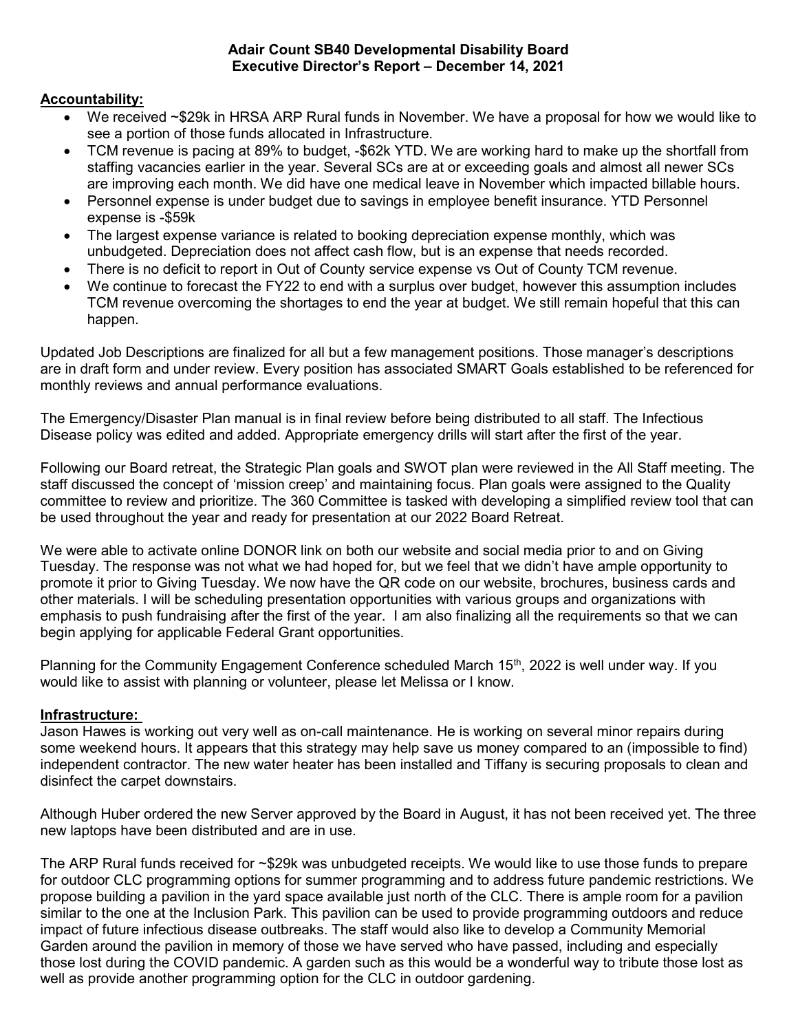#### Adair Count SB40 Developmental Disability Board Executive Director's Report – December 14, 2021

## Accountability:

- We received ~\$29k in HRSA ARP Rural funds in November. We have a proposal for how we would like to see a portion of those funds allocated in Infrastructure.
- TCM revenue is pacing at 89% to budget, -\$62k YTD. We are working hard to make up the shortfall from staffing vacancies earlier in the year. Several SCs are at or exceeding goals and almost all newer SCs are improving each month. We did have one medical leave in November which impacted billable hours.
- Personnel expense is under budget due to savings in employee benefit insurance. YTD Personnel expense is -\$59k
- The largest expense variance is related to booking depreciation expense monthly, which was unbudgeted. Depreciation does not affect cash flow, but is an expense that needs recorded.
- There is no deficit to report in Out of County service expense vs Out of County TCM revenue.
- We continue to forecast the FY22 to end with a surplus over budget, however this assumption includes TCM revenue overcoming the shortages to end the year at budget. We still remain hopeful that this can happen.

Updated Job Descriptions are finalized for all but a few management positions. Those manager's descriptions are in draft form and under review. Every position has associated SMART Goals established to be referenced for monthly reviews and annual performance evaluations.

The Emergency/Disaster Plan manual is in final review before being distributed to all staff. The Infectious Disease policy was edited and added. Appropriate emergency drills will start after the first of the year.

Following our Board retreat, the Strategic Plan goals and SWOT plan were reviewed in the All Staff meeting. The staff discussed the concept of 'mission creep' and maintaining focus. Plan goals were assigned to the Quality committee to review and prioritize. The 360 Committee is tasked with developing a simplified review tool that can be used throughout the year and ready for presentation at our 2022 Board Retreat.

We were able to activate online DONOR link on both our website and social media prior to and on Giving Tuesday. The response was not what we had hoped for, but we feel that we didn't have ample opportunity to promote it prior to Giving Tuesday. We now have the QR code on our website, brochures, business cards and other materials. I will be scheduling presentation opportunities with various groups and organizations with emphasis to push fundraising after the first of the year. I am also finalizing all the requirements so that we can begin applying for applicable Federal Grant opportunities.

Planning for the Community Engagement Conference scheduled March 15<sup>th</sup>, 2022 is well under way. If you would like to assist with planning or volunteer, please let Melissa or I know.

## Infrastructure:

Jason Hawes is working out very well as on-call maintenance. He is working on several minor repairs during some weekend hours. It appears that this strategy may help save us money compared to an (impossible to find) independent contractor. The new water heater has been installed and Tiffany is securing proposals to clean and disinfect the carpet downstairs.

Although Huber ordered the new Server approved by the Board in August, it has not been received yet. The three new laptops have been distributed and are in use.

The ARP Rural funds received for ~\$29k was unbudgeted receipts. We would like to use those funds to prepare for outdoor CLC programming options for summer programming and to address future pandemic restrictions. We propose building a pavilion in the yard space available just north of the CLC. There is ample room for a pavilion similar to the one at the Inclusion Park. This pavilion can be used to provide programming outdoors and reduce impact of future infectious disease outbreaks. The staff would also like to develop a Community Memorial Garden around the pavilion in memory of those we have served who have passed, including and especially those lost during the COVID pandemic. A garden such as this would be a wonderful way to tribute those lost as well as provide another programming option for the CLC in outdoor gardening.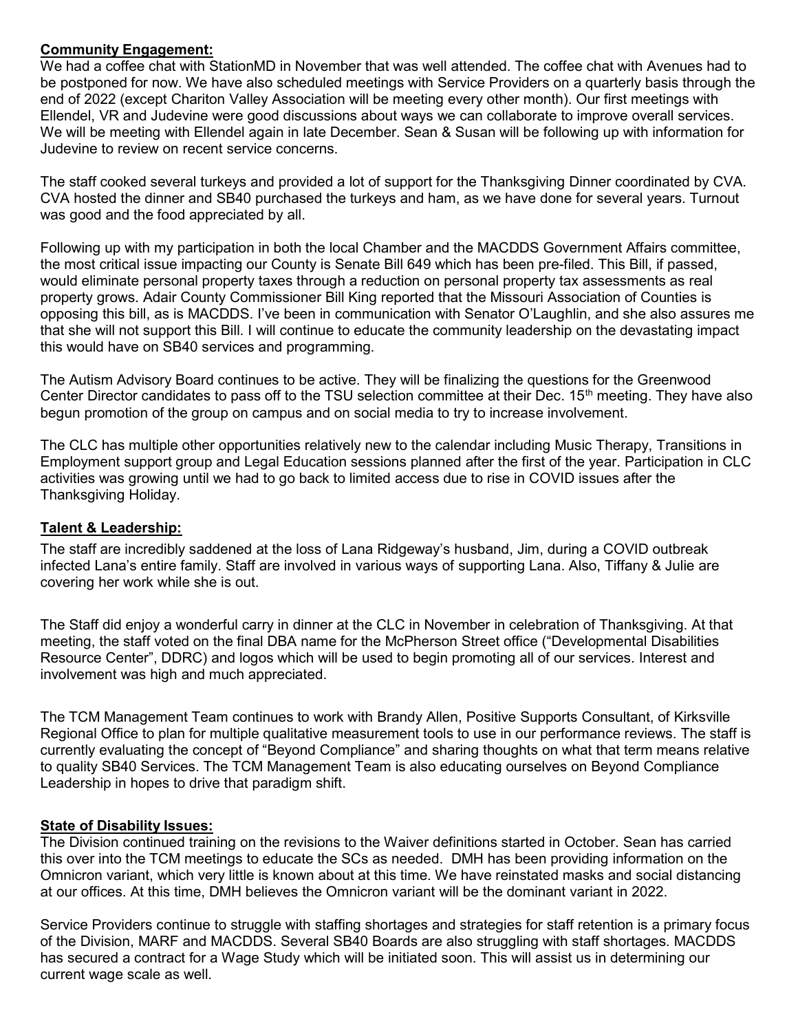## Community Engagement:

We had a coffee chat with StationMD in November that was well attended. The coffee chat with Avenues had to be postponed for now. We have also scheduled meetings with Service Providers on a quarterly basis through the end of 2022 (except Chariton Valley Association will be meeting every other month). Our first meetings with Ellendel, VR and Judevine were good discussions about ways we can collaborate to improve overall services. We will be meeting with Ellendel again in late December. Sean & Susan will be following up with information for Judevine to review on recent service concerns.

The staff cooked several turkeys and provided a lot of support for the Thanksgiving Dinner coordinated by CVA. CVA hosted the dinner and SB40 purchased the turkeys and ham, as we have done for several years. Turnout was good and the food appreciated by all.

Following up with my participation in both the local Chamber and the MACDDS Government Affairs committee, the most critical issue impacting our County is Senate Bill 649 which has been pre-filed. This Bill, if passed, would eliminate personal property taxes through a reduction on personal property tax assessments as real property grows. Adair County Commissioner Bill King reported that the Missouri Association of Counties is opposing this bill, as is MACDDS. I've been in communication with Senator O'Laughlin, and she also assures me that she will not support this Bill. I will continue to educate the community leadership on the devastating impact this would have on SB40 services and programming.

The Autism Advisory Board continues to be active. They will be finalizing the questions for the Greenwood Center Director candidates to pass off to the TSU selection committee at their Dec. 15<sup>th</sup> meeting. They have also begun promotion of the group on campus and on social media to try to increase involvement.

The CLC has multiple other opportunities relatively new to the calendar including Music Therapy, Transitions in Employment support group and Legal Education sessions planned after the first of the year. Participation in CLC activities was growing until we had to go back to limited access due to rise in COVID issues after the Thanksgiving Holiday.

# Talent & Leadership:

The staff are incredibly saddened at the loss of Lana Ridgeway's husband, Jim, during a COVID outbreak infected Lana's entire family. Staff are involved in various ways of supporting Lana. Also, Tiffany & Julie are covering her work while she is out.

The Staff did enjoy a wonderful carry in dinner at the CLC in November in celebration of Thanksgiving. At that meeting, the staff voted on the final DBA name for the McPherson Street office ("Developmental Disabilities Resource Center", DDRC) and logos which will be used to begin promoting all of our services. Interest and involvement was high and much appreciated.

The TCM Management Team continues to work with Brandy Allen, Positive Supports Consultant, of Kirksville Regional Office to plan for multiple qualitative measurement tools to use in our performance reviews. The staff is currently evaluating the concept of "Beyond Compliance" and sharing thoughts on what that term means relative to quality SB40 Services. The TCM Management Team is also educating ourselves on Beyond Compliance Leadership in hopes to drive that paradigm shift.

## **State of Disability Issues:**

The Division continued training on the revisions to the Waiver definitions started in October. Sean has carried this over into the TCM meetings to educate the SCs as needed. DMH has been providing information on the Omnicron variant, which very little is known about at this time. We have reinstated masks and social distancing at our offices. At this time, DMH believes the Omnicron variant will be the dominant variant in 2022.

Service Providers continue to struggle with staffing shortages and strategies for staff retention is a primary focus of the Division, MARF and MACDDS. Several SB40 Boards are also struggling with staff shortages. MACDDS has secured a contract for a Wage Study which will be initiated soon. This will assist us in determining our current wage scale as well.